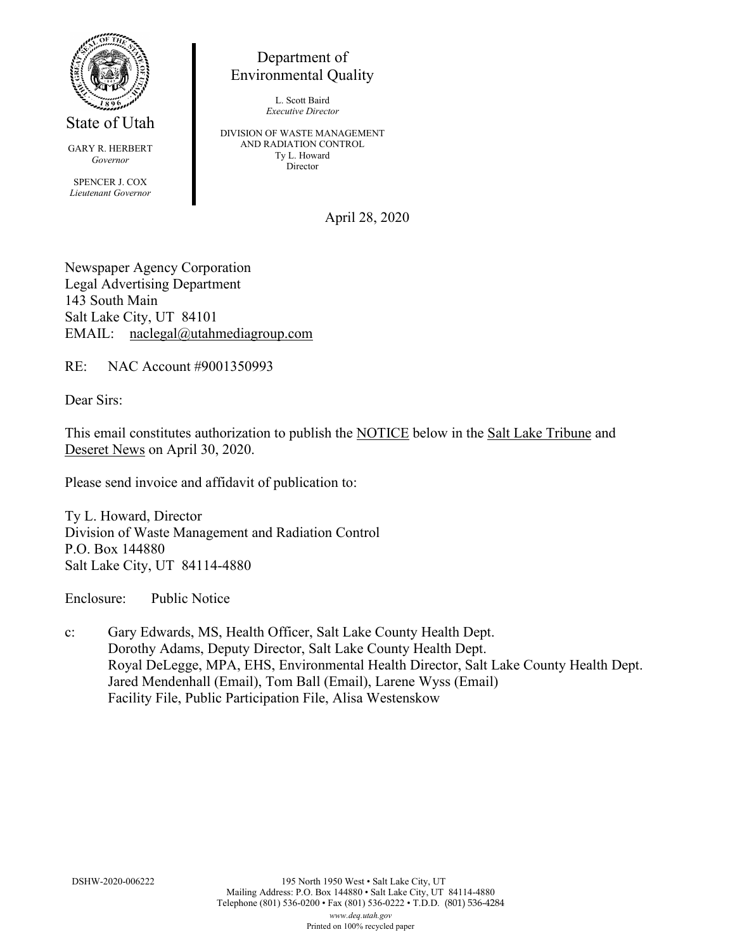

State of Utah

GARY R. HERBERT *Governor* SPENCER J. COX *Lieutenant Governor*

Department of Environmental Quality

> L. Scott Baird *Executive Director*

DIVISION OF WASTE MANAGEMENT AND RADIATION CONTROL Ty L. Howard Director

April 28, 2020

Newspaper Agency Corporation Legal Advertising Department 143 South Main Salt Lake City, UT 84101 EMAIL: naclegal@utahmediagroup.com

RE: NAC Account #9001350993

Dear Sirs:

This email constitutes authorization to publish the NOTICE below in the Salt Lake Tribune and Deseret News on April 30, 2020.

Please send invoice and affidavit of publication to:

Ty L. Howard, Director Division of Waste Management and Radiation Control P.O. Box 144880 Salt Lake City, UT 84114-4880

Enclosure: Public Notice

c: Gary Edwards, MS, Health Officer, Salt Lake County Health Dept. Dorothy Adams, Deputy Director, Salt Lake County Health Dept. Royal DeLegge, MPA, EHS, Environmental Health Director, Salt Lake County Health Dept. Jared Mendenhall (Email), Tom Ball (Email), Larene Wyss (Email) Facility File, Public Participation File, Alisa Westenskow